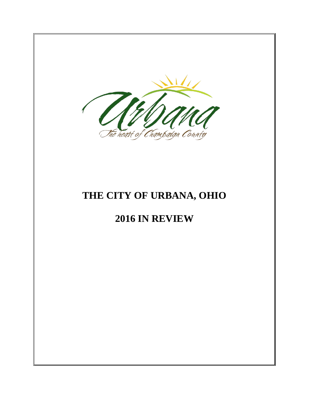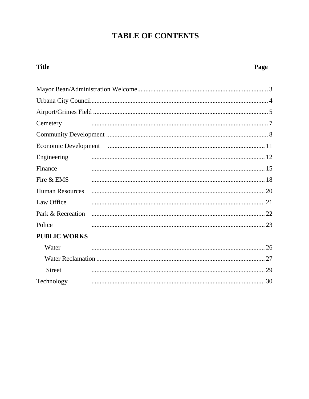# **TABLE OF CONTENTS**

## **Title** Cemetery Engineering Finance Fire & EMS **Human Resources** Law Office Park & Recreation Police **PUBLIC WORKS**  $W_{\text{other}}$  $\overline{C}$

| <b>VV</b> area |  |
|----------------|--|
|                |  |
| <b>Street</b>  |  |
| Technology     |  |
|                |  |

## Page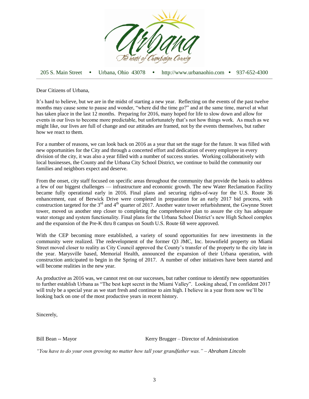

205 S. Main Street Urbana, Ohio 43078 http://www.urbanaohio.com 937-652-4300

Dear Citizens of Urbana,

It's hard to believe, but we are in the midst of starting a new year. Reflecting on the events of the past twelve months may cause some to pause and wonder, "where did the time go?" and at the same time, marvel at what has taken place in the last 12 months. Preparing for 2016, many hoped for life to slow down and allow for events in our lives to become more predictable, but unfortunately that's not how things work. As much as we might like, our lives are full of change and our attitudes are framed, not by the events themselves, but rather how we react to them.

For a number of reasons, we can look back on 2016 as a year that set the stage for the future. It was filled with new opportunities for the City and through a concerted effort and dedication of every employee in every division of the city, it was also a year filled with a number of success stories. Working collaboratively with local businesses, the County and the Urbana City School District, we continue to build the community our families and neighbors expect and deserve.

From the onset, city staff focused on specific areas throughout the community that provide the basis to address a few of our biggest challenges — infrastructure and economic growth. The new Water Reclamation Facility became fully operational early in 2016. Final plans and securing rights-of-way for the U.S. Route 36 enhancement, east of Berwick Drive were completed in preparation for an early 2017 bid process, with construction targeted for the 3<sup>rd</sup> and 4<sup>th</sup> quarter of 2017. Another water tower refurbishment, the Gwynne Street tower, moved us another step closer to completing the comprehensive plan to assure the city has adequate water storage and system functionality. Final plans for the Urbana School District's new High School complex and the expansion of the Pre-K thru 8 campus on South U.S. Route 68 were approved.

With the CEP becoming more established, a variety of sound opportunities for new investments in the community were realized. The redevelopment of the former Q3 JMC, Inc. brownfield property on Miami Street moved closer to reality as City Council approved the County's transfer of the property to the city late in the year. Marysville based, Memorial Health, announced the expansion of their Urbana operation, with construction anticipated to begin in the Spring of 2017. A number of other initiatives have been started and will become realities in the new year.

As productive as 2016 was, we cannot rest on our successes, but rather continue to identify new opportunities to further establish Urbana as "The best kept secret in the Miami Valley". Looking ahead, I'm confident 2017 will truly be a special year as we start fresh and continue to aim high. I believe in a year from now we'll be looking back on one of the most productive years in recent history.

Sincerely,

Bill Bean -- Mayor **Kerry Brugger** – Director of Administration

*"You have to do your own growing no matter how tall your grandfather was." – Abraham Lincoln*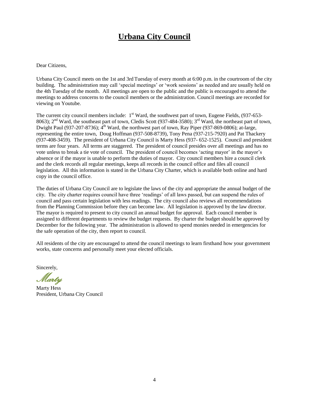# **Urbana City Council**

#### Dear Citizens,

Urbana City Council meets on the 1st and 3rd Tuesday of every month at 6:00 p.m. in the courtroom of the city building. The administration may call 'special meetings' or 'work sessions' as needed and are usually held on the 4th Tuesday of the month. All meetings are open to the public and the public is encouraged to attend the meetings to address concerns to the council members or the administration. Council meetings are recorded for viewing on Youtube.

The current city council members include:  $1<sup>st</sup>$  Ward, the southwest part of town, Eugene Fields, (937-653-8063);  $2<sup>nd</sup>$  Ward, the southeast part of town, Cledis Scott (937-484-3580);  $3<sup>rd</sup>$  Ward, the northeast part of town, Dwight Paul (937-207-8736);  $4^{\text{th}}$  Ward, the northwest part of town, Ray Piper (937-869-0806); at-large, representing the entire town, Doug Hoffman (937-508-8739), Tony Pena (937-215-7920) and Pat Thackery (937-408-3459). The president of Urbana City Council is Marty Hess (937- 652-1525). Council and president terms are four years. All terms are staggered. The president of council presides over all meetings and has no vote unless to break a tie vote of council. The president of council becomes 'acting mayor' in the mayor's absence or if the mayor is unable to perform the duties of mayor. City council members hire a council clerk and the clerk records all regular meetings, keeps all records in the council office and files all council legislation. All this information is stated in the Urbana City Charter, which is available both online and hard copy in the council office.

The duties of Urbana City Council are to legislate the laws of the city and appropriate the annual budget of the city. The city charter requires council have three 'readings' of all laws passed, but can suspend the rules of council and pass certain legislation with less readings. The city council also reviews all recommendations from the Planning Commission before they can become law. All legislation is approved by the law director. The mayor is required to present to city council an annual budget for approval. Each council member is assigned to different departments to review the budget requests. By charter the budget should be approved by December for the following year. The administration is allowed to spend monies needed in emergencies for the safe operation of the city, then report to council.

All residents of the city are encouraged to attend the council meetings to learn firsthand how your government works, state concerns and personally meet your elected officials.

Sincerely,

Marty

Marty Hess President, Urbana City Council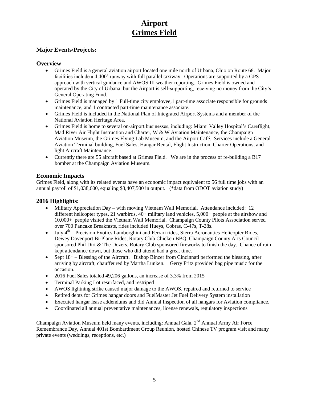# **Airport Grimes Field**

### **Major Events/Projects:**

#### **Overview**

- Grimes Field is a general aviation airport located one mile north of Urbana, Ohio on Route 68. Major facilities include a 4,400' runway with full parallel taxiway. Operations are supported by a GPS approach with vertical guidance and AWOS III weather reporting. Grimes Field is owned and operated by the City of Urbana, but the Airport is self-supporting, receiving no money from the City's General Operating Fund.
- Grimes Field is managed by 1 Full-time city employee,1 part-time associate responsible for grounds maintenance, and 1 contracted part-time maintenance associate.
- Grimes Field is included in the National Plan of Integrated Airport Systems and a member of the National Aviation Heritage Area.
- Grimes Field is home to several on-airport businesses, including: Miami Valley Hospital's Careflight, Mad River Air Flight Instruction and Charter, W  $&$  W Aviation Maintenance, the Champaign Aviation Museum, the Grimes Flying Lab Museum, and the Airport Café. Services include a General Aviation Terminal building, Fuel Sales, Hangar Rental, Flight Instruction, Charter Operations, and light Aircraft Maintenance.
- Currently there are 55 aircraft based at Grimes Field. We are in the process of re-building a B17 bomber at the Champaign Aviation Museum.

#### **Economic Impacts**

Grimes Field, along with its related events have an economic impact equivalent to 56 full time jobs with an annual payroll of \$1,038,600, equaling \$3,407,500 in output. (\*data from ODOT aviation study)

#### **2016 Highlights:**

- Military Appreciation Day with moving Vietnam Wall Memorial. Attendance included: 12 different helicopter types, 21 warbirds, 40+ military land vehicles, 5,000+ people at the airshow and 10,000+ people visited the Vietnam Wall Memorial. Champaign County Pilots Association served over 700 Pancake Breakfasts, rides included Hueys, Cobras, C-47s, T-28s.
- $\bullet$  July  $4<sup>th</sup>$  Precision Exotics Lamborghini and Ferrari rides, Sierra Aeronautics Helicopter Rides, Dewey Davenport Bi-Plane Rides, Rotary Club Chicken BBQ, Champaign County Arts Council sponsored Phil Dirt & The Dozers, Rotary Club sponsored fireworks to finish the day. Chance of rain kept attendance down, but those who did attend had a great time.
- Sept  $18<sup>th</sup>$  Blessing of the Aircraft. Bishop Binzer from Cincinnati performed the blessing, after arriving by aircraft, chauffeured by Martha Lunken. Gerry Fritz provided bag pipe music for the occasion.
- 2016 Fuel Sales totaled 49,206 gallons, an increase of 3.3% from 2015
- Terminal Parking Lot resurfaced, and restriped
- AWOS lightning strike caused major damage to the AWOS, repaired and returned to service
- Retired debts for Grimes hangar doors and FuelMaster Jet Fuel Delivery System installation
- Executed hangar lease addendums and did Annual Inspection of all hangars for Aviation compliance.
- Coordinated all annual preventative maintenances, license renewals, regulatory inspections

Champaign Aviation Museum held many events, including: Annual Gala, 2<sup>nd</sup> Annual Army Air Force Remembrance Day, Annual 401st Bombardment Group Reunion, hosted Chinese TV program visit and many private events (weddings, receptions, etc.)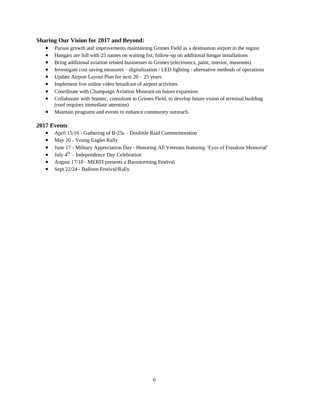### **Sharing Our Vision for 2017 and Beyond:**

- Pursue growth and improvements maintaining Grimes Field as a destination airport in the region
- Hangars are full with 25 names on waiting list, follow-up on additional hangar installations
- Bring additional aviation related businesses to Grimes (electronics, paint, interior, museums)
- $\bullet$  Investigate cost saving measures digitalization / LED lighting / alternative methods of operations
- Update Airport Layout Plan for next  $20 25$  years
- Implement live online video broadcast of airport activities
- Coordinate with Champaign Aviation Museum on future expansion.
- Collaborate with Stantec, consultant to Grimes Field, to develop future vision of terminal building (roof requires immediate attention)
- Maintain programs and events to enhance community outreach.

#### **2017 Events**

- April 15/16 Gathering of B-25s Doolittle Raid Commemoration
- May 20 Young Eagles Rally
- June 17 Military Appreciation Day Honoring All Veterans featuring 'Eyes of Freedom Memorial'
- $\bullet$  July 4<sup>th</sup> Independence Day Celebration
- August 17/18 MERFI presents a Barnstorming Festival
- Sept 22/24 Balloon Festival/Rally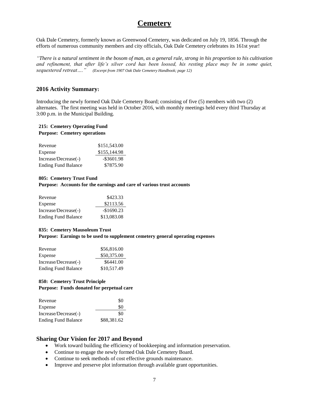# **Cemetery**

Oak Dale Cemetery, formerly known as Greenwood Cemetery, was dedicated on July 19, 1856. Through the efforts of numerous community members and city officials, Oak Dale Cemetery celebrates its 161st year!

*"There is a natural sentiment in the bosom of man, as a general rule, strong in his proportion to his cultivation and refinement, that after life's silver cord has been loosed, his resting place may be in some quiet, sequestered retreat…." (Excerpt from 1907 Oak Dale Cemetery Handbook; page 12)*

#### **2016 Activity Summary:**

Introducing the newly formed Oak Dale Cemetery Board; consisting of five (5) members with two (2) alternates. The first meeting was held in October 2016, with monthly meetings held every third Thursday at 3:00 p.m. in the Municipal Building.

#### **215: Cemetery Operating Fund Purpose: Cemetery operations**

| Revenue                    | \$151,543.00  |
|----------------------------|---------------|
| Expense                    | \$155,144.98  |
| Increase/Decrease(-)       | $-$ \$3601.98 |
| <b>Ending Fund Balance</b> | \$7875.90     |

#### **805: Cemetery Trust Fund**

**Purpose: Accounts for the earnings and care of various trust accounts**

| Revenue                    | \$423.33    |
|----------------------------|-------------|
| Expense                    | \$2113.56   |
| Increase/Decrease(-)       | $-$1690.23$ |
| <b>Ending Fund Balance</b> | \$13,083.08 |

#### **835: Cemetery Mausoleum Trust**

**Purpose: Earnings to be used to supplement cemetery general operating expenses**

| Revenue                    | \$56,816.00 |
|----------------------------|-------------|
| Expense                    | \$50,375.00 |
| Increase/Decrease(-)       | \$6441.00   |
| <b>Ending Fund Balance</b> | \$10,517.49 |

#### **850: Cemetery Trust Principle Purpose: Funds donated for perpetual care**

| Revenue                    | \$0         |
|----------------------------|-------------|
| Expense                    | \$0         |
| Increase/Decrease(-)       | \$0         |
| <b>Ending Fund Balance</b> | \$88,381.62 |

- Work toward building the efficiency of bookkeeping and information preservation.
- Continue to engage the newly formed Oak Dale Cemetery Board.
- Continue to seek methods of cost effective grounds maintenance.
- Improve and preserve plot information through available grant opportunities.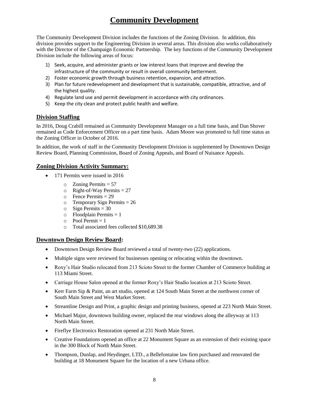# **Community Development**

The Community Development Division includes the functions of the Zoning Division. In addition, this division provides support to the Engineering Division in several areas. This division also works collaboratively with the Director of the Champaign Economic Partnership. The key functions of the Community Development Division include the following areas of focus:

- 1) Seek, acquire, and administer grants or low interest loans that improve and develop the infrastructure of the community or result in overall community betterment.
- 2) Foster economic growth through business retention, expansion, and attraction.
- 3) Plan for future redevelopment and development that is sustainable, compatible, attractive, and of the highest quality.
- 4) Regulate land use and permit development in accordance with city ordinances.
- 5) Keep the city clean and protect public health and welfare.

### **Division Staffing**

In 2016, Doug Crabill remained as Community Development Manager on a full time basis, and Dan Shover remained as Code Enforcement Officer on a part time basis. Adam Moore was promoted to full time status as the Zoning Officer in October of 2016.

In addition, the work of staff in the Community Development Division is supplemented by Downtown Design Review Board, Planning Commission, Board of Zoning Appeals, and Board of Nuisance Appeals.

#### **Zoning Division Activity Summary:**

- 171 Permits were issued in 2016
	- $\circ$  Zoning Permits = 57
	- $\circ$  Right-of-Way Permits = 27
	- o Fence Permits = 29
	- o Temporary Sign Permits = 26
	- $\circ$  Sign Permits = 30
	- $\circ$  Floodplain Permits = 1
	- $\circ$  Pool Permit = 1
	- o Total associated fees collected \$10,689.38

#### **Downtown Design Review Board:**

- Downtown Design Review Board reviewed a total of twenty-two (22) applications.
- Multiple signs were reviewed for businesses opening or relocating within the downtown.
- Roxy's Hair Studio relocated from 213 Scioto Street to the former Chamber of Commerce building at 113 Miami Street.
- Carriage House Salon opened at the former Roxy's Hair Studio location at 213 Scioto Street.
- Kerr Farm Sip & Paint, an art studio, opened at 124 South Main Street at the northwest corner of South Main Street and West Market Street.
- Streamline Design and Print, a graphic design and printing business, opened at 223 North Main Street.
- Michael Major, downtown building owner, replaced the rear windows along the alleyway at 113 North Main Street.
- Fireflye Electronics Restoration opened at 231 North Main Street.
- Creative Foundations opened an office at 22 Monument Square as an extension of their existing space in the 300 Block of North Main Street.
- Thompson, Dunlap, and Heydinger, LTD., a Bellefontaine law firm purchased and renovated the building at 18 Monument Square for the location of a new Urbana office.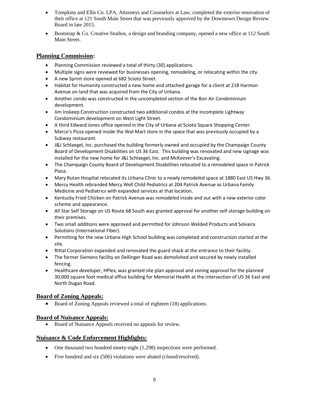- Tompkins and Ellis Co. LPA, Attorneys and Counselors at Law, completed the exterior renovation of their office at 121 South Main Street that was previously approved by the Downtown Design Review Board in late 2015.
- Bootstrap & Co. Creative Studios, a design and branding company, opened a new office at 112 South Main Street.

#### **Planning Commission:**

- Planning Commission reviewed a total of thirty (30) applications.
- Multiple signs were reviewed for businesses opening, remodeling, or relocating within the city.
- A new Sprint store opened at 682 Scioto Street.
- Habitat for Humanity constructed a new home and attached garage for a client at 218 Harmon Avenue on land that was acquired from the City of Urbana.
- Another condo was constructed in the uncompleted section of the Bon Air Condominium development.
- Jim Inskeep Construction constructed two additional condos at the incomplete Lightway Condominium development on West Light Street.
- A third Edward Jones office opened in the City of Urbana at Scioto Square Shopping Center.
- Marco's Pizza opened inside the Wal-Mart store in the space that was previously occupied by a Subway restaurant.
- J&J Schlaegel, Inc. purchased the building formerly owned and occupied by the Champaign County Board of Development Disabilities on US 36 East. This building was renovated and new signage was installed for the new home for J&J Schlaegel, Inc. and McKeever's Excavating.
- The Champaign County Board of Development Disabilities relocated to a remodeled space in Patrick Plaza.
- Mary Rutan Hospital relocated its Urbana Clinic to a newly remodeled space at 1880 East US Hwy 36.
- Mercy Health rebranded Mercy Well Child Pediatrics at 204 Patrick Avenue as Urbana Family Medicine and Pediatrics with expanded services at that location.
- Kentucky Fried Chicken on Patrick Avenue was remodeled inside and out with a new exterior color scheme and appearance.
- All Star Self Storage on US Route 68 South was granted approval for another self-storage building on their premises.
- Two small additions were approved and permitted for Johnson Welded Products and Solvaira Solutions (International Fiber).
- Permitting for the new Urbana High School building was completed and construction started at the site.
- Rittal Corporation expanded and renovated the guard shack at the entrance to their facility.
- The former Siemens facility on Dellinger Road was demolished and secured by newly installed fencing.
- Healthcare developer, HPlex, was granted site plan approval and zoning approval for the planned 30,000 square foot medical office building for Memorial Health at the intersection of US 36 East and North Dugan Road.

#### **Board of Zoning Appeals:**

• Board of Zoning Appeals reviewed a total of eighteen (18) applications.

#### **Board of Nuisance Appeals:**

Board of Nuisance Appeals received no appeals for review.

#### **Nuisance & Code Enforcement Highlights:**

- One thousand two hundred ninety-eight (1,298) inspections were performed.
- Five hundred and six (506) violations were abated (closed/resolved).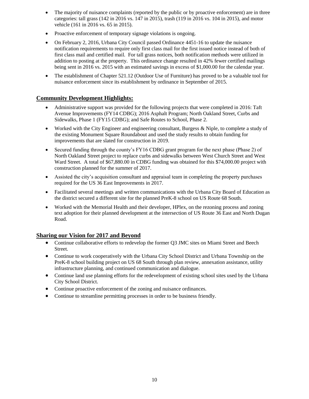- The majority of nuisance complaints (reported by the public or by proactive enforcement) are in three categories: tall grass (142 in 2016 vs. 147 in 2015), trash (119 in 2016 vs. 104 in 2015), and motor vehicle (161 in 2016 vs. 65 in 2015).
- Proactive enforcement of temporary signage violations is ongoing.
- On February 2, 2016, Urbana City Council passed Ordinance 4451-16 to update the nuisance notification requirements to require only first class mail for the first issued notice instead of both of first class mail and certified mail. For tall grass notices, both notification methods were utilized in addition to posting at the property. This ordinance change resulted in 42% fewer certified mailings being sent in 2016 vs. 2015 with an estimated savings in excess of \$1,000.00 for the calendar year.
- The establishment of Chapter 521.12 (Outdoor Use of Furniture) has proved to be a valuable tool for nuisance enforcement since its establishment by ordinance in September of 2015.

### **Community Development Highlights:**

- Administrative support was provided for the following projects that were completed in 2016: Taft Avenue Improvements (FY14 CDBG); 2016 Asphalt Program; North Oakland Street, Curbs and Sidewalks, Phase 1 (FY15 CDBG); and Safe Routes to School, Phase 2.
- Worked with the City Engineer and engineering consultant, Burgess & Niple, to complete a study of the existing Monument Square Roundabout and used the study results to obtain funding for improvements that are slated for construction in 2019.
- Secured funding through the county's FY16 CDBG grant program for the next phase (Phase 2) of North Oakland Street project to replace curbs and sidewalks between West Church Street and West Ward Street. A total of \$67,880.00 in CDBG funding was obtained for this \$74,000.00 project with construction planned for the summer of 2017.
- Assisted the city's acquisition consultant and appraisal team in completing the property purchases required for the US 36 East Improvements in 2017.
- Facilitated several meetings and written communications with the Urbana City Board of Education as the district secured a different site for the planned PreK-8 school on US Route 68 South.
- Worked with the Memorial Health and their developer, HPlex, on the rezoning process and zoning text adoption for their planned development at the intersection of US Route 36 East and North Dugan Road.

- Continue collaborative efforts to redevelop the former Q3 JMC sites on Miami Street and Beech Street.
- Continue to work cooperatively with the Urbana City School District and Urbana Township on the PreK-8 school building project on US 68 South through plan review, annexation assistance, utility infrastructure planning, and continued communication and dialogue.
- Continue land use planning efforts for the redevelopment of existing school sites used by the Urbana City School District.
- Continue proactive enforcement of the zoning and nuisance ordinances.
- Continue to streamline permitting processes in order to be business friendly.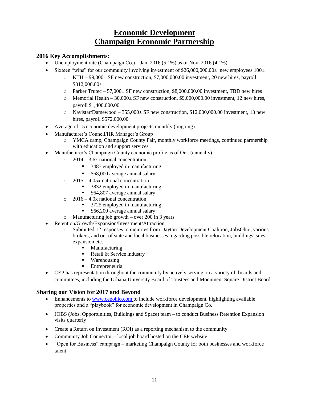# **Economic Development Champaign Economic Partnership**

### **2016 Key Accomplishments:**

- Unemployment rate (Champaign Co.) Jan. 2016  $(5.1\%)$  as of Nov. 2016  $(4.1\%)$
- Sixteen "wins" for our community involving investment of  $$26,000,000.00±$  new employees  $100±$ 
	- $\circ$  KTH 99,000± SF new construction, \$7,000,000.00 investment, 20 new hires, payroll \$812,000.00±
	- $\circ$  Parker Trutec 57,000 $\pm$  SF new construction, \$8,000,000.00 investment, TBD new hires
	- $\circ$  Memorial Health 30,000± SF new construction, \$9,000,000.00 investment, 12 new hires, payroll \$1,400,000.00
	- $\circ$  Navistar/Damewood 355,000 $\pm$  SF new construction, \$12,000,000.00 investment, 13 new hires, payroll \$572,000.00
- Average of 15 economic development projects monthly (ongoing)
- Manufacturer's Council/HR Manager's Group
	- o YMCA camp, Champaign County Fair, monthly workforce meetings, continued partnership with education and support services
- Manufacturer's Champaign County economic profile as of Oct. (annually)
	- o 2014 3.6x national concentration
		- 3487 employed in manufacturing
		- \$68,000 average annual salary
	- o 2015 4.05x national concentration
		- 3832 employed in manufacturing
		- **564,807** average annual salary
	- o 2016 4.0x national concentration
		- 3725 employed in manufacturing
		- \$66,200 average annual salary
	- o Manufacturing job growth over 200 in 3 years
- Retention/Growth/Expansion/Investment/Attraction
	- o Submitted 12 responses to inquiries from Dayton Development Coalition, JobsOhio, various brokers, and out of state and local businesses regarding possible relocation, buildings, sites, expansion etc.
		- Manufacturing
		- Retail  $&$  Service industry
		- Warehousing
		- **Entrepreneurial**
- CEP has representation throughout the community by actively serving on a variety of boards and committees, including the Urbana University Board of Trustees and Monument Square District Board

- Enhancements t[o www.cepohio.com](http://www.cepohio.com/) to include workforce development, highlighting available properties and a "playbook" for economic development in Champaign Co.
- JOBS (Jobs, Opportunities, Buildings and Space) team to conduct Business Retention Expansion visits quarterly
- Create a Return on Investment (ROI) as a reporting mechanism to the community
- Community Job Connector local job board hosted on the CEP website
- "Open for Business" campaign marketing Champaign County for both businesses and workforce talent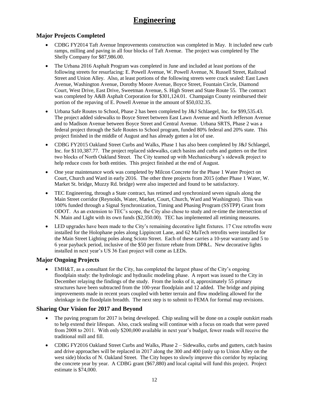# **Engineering**

## **Major Projects Completed**

- CDBG FY2014 Taft Avenue Improvements construction was completed in May. It included new curb ramps, milling and paving in all four blocks of Taft Avenue. The project was completed by The Shelly Company for \$87,986.00.
- The Urbana 2016 Asphalt Program was completed in June and included at least portions of the following streets for resurfacing: E. Powell Avenue, W. Powell Avenue, N. Russell Street, Railroad Street and Union Alley. Also, at least portions of the following streets were crack sealed: East Lawn Avenue, Washington Avenue, Dorothy Moore Avenue, Boyce Street, Fountain Circle, Diamond Court, West Drive, East Drive, Sweetman Avenue, S. High Street and State Route 55. The contract was completed by A&B Asphalt Corporation for \$301,124.01. Champaign County reimbursed their portion of the repaving of E. Powell Avenue in the amount of \$50,032.35.
- Urbana Safe Routes to School, Phase 2 has been completed by J&J Schlaegel, Inc. for \$99,535.43. The project added sidewalks to Boyce Street between East Lawn Avenue and North Jefferson Avenue and to Madison Avenue between Boyce Street and Central Avenue. Urbana SRTS, Phase 2 was a federal project through the Safe Routes to School program, funded 80% federal and 20% state. This project finished in the middle of August and has already gotten a lot of use.
- CDBG FY2015 Oakland Street Curbs and Walks, Phase 1 has also been completed by J&J Schlaegel, Inc. for \$110,387.77. The project replaced sidewalks, catch basins and curbs and gutters on the first two blocks of North Oakland Street. The City teamed up with Mechanicsburg's sidewalk project to help reduce costs for both entities. This project finished at the end of August.
- One year maintenance work was completed by Milcon Concrete for the Phase 1 Water Project on Court, Church and Ward in early 2016. The other three projects from 2015 (other Phase 1 Water, W. Market St. bridge, Muzzy Rd. bridge) were also inspected and found to be satisfactory.
- TEC Engineering, through a State contract, has retimed and synchronized seven signals along the Main Street corridor (Reynolds, Water, Market, Court, Church, Ward and Washington). This was 100% funded through a Signal Synchronization, Timing and Phasing Program (SSTPP) Grant from ODOT. As an extension to TEC's scope, the City also chose to study and re-time the intersection of N. Main and Light with its own funds (\$2,350.00). TEC has implemented all retiming measures.
- LED upgrades have been made to the City's remaining decorative light fixtures. 17 Cree retrofits were installed for the Holophane poles along Lippincott Lane, and 62 MaTech retrofits were installed for the Main Street Lighting poles along Scioto Street. Each of these carries a 10-year warranty and 5 to 6 year payback period, inclusive of the \$50 per fixture rebate from DP&L. New decorative lights installed in next year's US 36 East project will come as LEDs.

## **Major Ongoing Projects**

 EMH&T, as a consultant for the City, has completed the largest phase of the City's ongoing floodplain study: the hydrologic and hydraulic modeling phase. A report was issued to the City in December relaying the findings of the study. From the looks of it, approximately 55 primary structures have been subtracted from the 100-year floodplain and 12 added. The bridge and piping improvements made in recent years coupled with better terrain and flow modeling allowed for the shrinkage in the floodplain breadth. The next step is to submit to FEMA for formal map revisions.

- The paving program for 2017 is being developed. Chip sealing will be done on a couple outskirt roads to help extend their lifespan. Also, crack sealing will continue with a focus on roads that were paved from 2008 to 2011. With only \$200,000 available in next year's budget, fewer roads will receive the traditional mill and fill.
- CDBG FY2016 Oakland Street Curbs and Walks, Phase 2 Sidewalks, curbs and gutters, catch basins and drive approaches will be replaced in 2017 along the 300 and 400 (only up to Union Alley on the west side) blocks of N. Oakland Street. The City hopes to slowly improve this corridor by replacing the concrete year by year. A CDBG grant (\$67,880) and local capital will fund this project. Project estimate is \$74,000.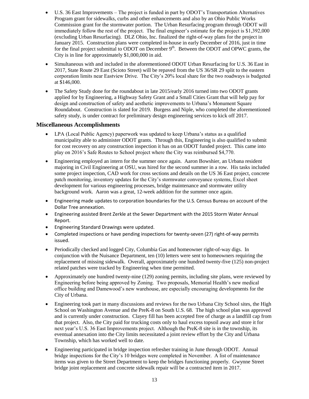- U.S. 36 East Improvements The project is funded in part by ODOT's Transportation Alternatives Program grant for sidewalks, curbs and other enhancements and also by an Ohio Public Works Commission grant for the stormwater portion. The Urban Resurfacing program through ODOT will immediately follow the rest of the project. The final engineer's estimate for the project is \$1,392,000 (excluding Urban Resurfacing). DLZ Ohio, Inc. finalized the right-of-way plans for the project in January 2015. Construction plans were completed in-house in early December of 2016, just in time for the final project submittal to ODOT on December  $9<sup>th</sup>$ . Between the ODOT and OPWC grants, the City is in line for approximately \$1,000,000 in aid.
- Simultaneous with and included in the aforementioned ODOT Urban Resurfacing for U.S. 36 East in 2017, State Route 29 East (Scioto Street) will be repaved from the US 36/SR 29 split to the eastern corporation limits near Eastview Drive. The City's 20% local share for the two roadways is budgeted at \$146,000.
- The Safety Study done for the roundabout in late 2015/early 2016 turned into two ODOT grants applied for by Engineering, a Highway Safety Grant and a Small Cities Grant that will help pay for design and construction of safety and aesthetic improvements to Urbana's Monument Square Roundabout. Construction is slated for 2019. Burgess and Niple, who completed the aforementioned safety study, is under contract for preliminary design engineering services to kick off 2017.

#### **Miscellaneous Accomplishments**

- LPA (Local Public Agency) paperwork was updated to keep Urbana's status as a qualified municipality able to administer ODOT grants. Through this, Engineering is also qualified to submit for cost recovery on any construction inspection it has on an ODOT funded project. This came into play on 2016's Safe Routes to School project where the City was reimbursed \$4,770.
- Engineering employed an intern for the summer once again. Aaron Bowshier, an Urbana resident majoring in Civil Engineering at OSU, was hired for the second summer in a row. His tasks included some project inspection, CAD work for cross sections and details on the US 36 East project, concrete patch monitoring, inventory updates for the City's stormwater conveyance systems, Excel sheet development for various engineering processes, bridge maintenance and stormwater utility background work. Aaron was a great, 12-week addition for the summer once again.
- Engineering made updates to corporation boundaries for the U.S. Census Bureau on account of the Dollar Tree annexation.
- Engineering assisted Brent Zerkle at the Sewer Department with the 2015 Storm Water Annual Report.
- Engineering Standard Drawings were updated.
- Completed inspections or have pending inspections for twenty-seven (27) right-of-way permits issued.
- Periodically checked and logged City, Columbia Gas and homeowner right-of-way digs. In conjunction with the Nuisance Department, ten (10) letters were sent to homeowners requiring the replacement of missing sidewalk. Overall, approximately one hundred twenty-five (125) non-project related patches were tracked by Engineering when time permitted.
- Approximately one hundred twenty-nine (129) zoning permits, including site plans, were reviewed by Engineering before being approved by Zoning. Two proposals, Memorial Health's new medical office building and Damewood's new warehouse, are especially encouraging developments for the City of Urbana.
- Engineering took part in many discussions and reviews for the two Urbana City School sites, the High School on Washington Avenue and the PreK-8 on South U.S. 68. The high school plan was approved and is currently under construction. Clayey fill has been accepted free of charge as a landfill cap from that project. Also, the City paid for trucking costs only to haul excess topsoil away and store it for next year's U.S. 36 East Improvements project. Although the PreK-8 site is in the township, its eventual annexation into the City limits necessitated a joint review effort by the City and Urbana Township, which has worked well to date.
- Engineering participated in bridge inspection refresher training in June through ODOT. Annual bridge inspections for the City's 10 bridges were completed in November. A list of maintenance items was given to the Street Department to keep the bridges functioning properly. Gwynne Street bridge joint replacement and concrete sidewalk repair will be a contracted item in 2017.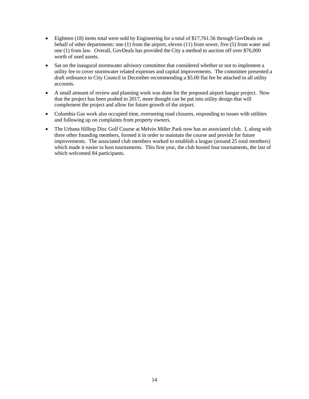- Eighteen (18) items total were sold by Engineering for a total of \$17,761.56 through GovDeals on behalf of other departments: one (1) from the airport, eleven (11) from sewer, five (5) from water and one (1) from law. Overall, GovDeals has provided the City a method to auction off over \$76,000 worth of used assets.
- Sat on the inaugural stormwater advisory committee that considered whether or not to implement a utility fee to cover stormwater related expenses and capital improvements. The committee presented a draft ordinance to City Council in December recommending a \$5.00 flat fee be attached to all utility accounts.
- A small amount of review and planning work was done for the proposed airport hangar project. Now that the project has been pushed to 2017, more thought can be put into utility design that will complement the project and allow for future growth of the airport.
- Columbia Gas work also occupied time, overseeing road closures, responding to issues with utilities and following up on complaints from property owners.
- The Urbana Hilltop Disc Golf Course at Melvin Miller Park now has an associated club. I, along with three other founding members, formed it in order to maintain the course and provide for future improvements. The associated club members worked to establish a league (around 25 total members) which made it easier to host tournaments. This first year, the club hosted four tournaments, the last of which welcomed 84 participants.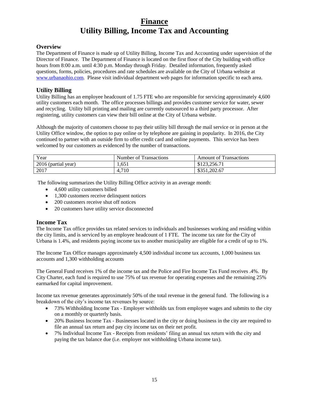# **Finance Utility Billing, Income Tax and Accounting**

### **Overview**

The Department of Finance is made up of Utility Billing, Income Tax and Accounting under supervision of the Director of Finance. The Department of Finance is located on the first floor of the City building with office hours from 8:00 a.m. until 4:30 p.m. Monday through Friday. Detailed information, frequently asked questions, forms, policies, procedures and rate schedules are available on the City of Urbana website at [www.urbanaohio.com.](http://www.urbanaohio.com/) Please visit individual department web pages for information specific to each area.

### **Utility Billing**

Utility Billing has an employee headcount of 1.75 FTE who are responsible for servicing approximately 4,600 utility customers each month. The office processes billings and provides customer service for water, sewer and recycling. Utility bill printing and mailing are currently outsourced to a third party processor. After registering, utility customers can view their bill online at the City of Urbana website.

Although the majority of customers choose to pay their utility bill through the mail service or in person at the Utility Office window, the option to pay online or by telephone are gaining in popularity. In 2016, the City continued to partner with an outside firm to offer credit card and online payments. This service has been welcomed by our customers as evidenced by the number of transactions.

| Year                | Number of Transactions | <b>Amount of Transactions</b> |
|---------------------|------------------------|-------------------------------|
| 2016 (partial year) | 1.651                  | \$123,256.71                  |
| 2017                | 4,710                  | \$351,202.67                  |

The following summarizes the Utility Billing Office activity in an average month:

- 4,600 utility customers billed
- 1,300 customers receive delinquent notices
- 200 customers receive shut off notices
- 20 customers have utility service disconnected

#### **Income Tax**

The Income Tax office provides tax related services to individuals and businesses working and residing within the city limits, and is serviced by an employee headcount of 1 FTE. The income tax rate for the City of Urbana is 1.4%, and residents paying income tax to another municipality are eligible for a credit of up to 1%.

The Income Tax Office manages approximately 4,500 individual income tax accounts, 1,000 business tax accounts and 1,300 withholding accounts

The General Fund receives 1% of the income tax and the Police and Fire Income Tax Fund receives .4%. By City Charter, each fund is required to use 75% of tax revenue for operating expenses and the remaining 25% earmarked for capital improvement.

Income tax revenue generates approximately 50% of the total revenue in the general fund. The following is a breakdown of the city's income tax revenues by source:

- 73% Withholding Income Tax Employer withholds tax from employee wages and submits to the city on a monthly or quarterly basis.
- 20% Business Income Tax Businesses located in the city or doing business in the city are required to file an annual tax return and pay city income tax on their net profit.
- 7% Individual Income Tax Receipts from residents' filing an annual tax return with the city and paying the tax balance due (i.e. employer not withholding Urbana income tax).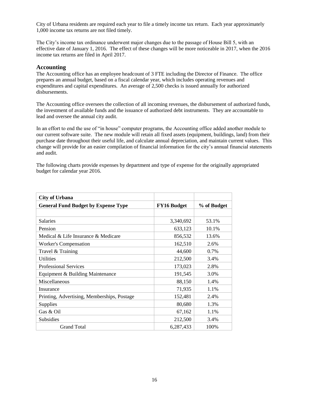City of Urbana residents are required each year to file a timely income tax return. Each year approximately 1,000 income tax returns are not filed timely.

The City's income tax ordinance underwent major changes due to the passage of House Bill 5, with an effective date of January 1, 2016. The effect of these changes will be more noticeable in 2017, when the 2016 income tax returns are filed in April 2017.

#### **Accounting**

The Accounting office has an employee headcount of 3 FTE including the Director of Finance. The office prepares an annual budget, based on a fiscal calendar year, which includes operating revenues and expenditures and capital expenditures. An average of 2,500 checks is issued annually for authorized disbursements.

The Accounting office oversees the collection of all incoming revenues, the disbursement of authorized funds, the investment of available funds and the issuance of authorized debt instruments. They are accountable to lead and oversee the annual city audit.

In an effort to end the use of "in house" computer programs, the Accounting office added another module to our current software suite. The new module will retain all fixed assets (equipment, buildings, land) from their purchase date throughout their useful life, and calculate annual depreciation, and maintain current values. This change will provide for an easier compilation of financial information for the city's annual financial statements and audit.

The following charts provide expenses by department and type of expense for the originally appropriated budget for calendar year 2016.

| <b>City of Urbana</b>                       |                    |             |
|---------------------------------------------|--------------------|-------------|
| <b>General Fund Budget by Expense Type</b>  | <b>FY16 Budget</b> | % of Budget |
|                                             |                    |             |
| <b>Salaries</b>                             | 3,340,692          | 53.1%       |
| Pension                                     | 633,123            | 10.1%       |
| Medical & Life Insurance & Medicare         | 856,532            | 13.6%       |
| <b>Worker's Compensation</b>                | 162,510            | 2.6%        |
| Travel & Training                           | 44,600             | 0.7%        |
| <b>Utilities</b>                            | 212,500            | 3.4%        |
| <b>Professional Services</b>                | 173,023            | 2.8%        |
| Equipment & Building Maintenance            | 191,545            | 3.0%        |
| Miscellaneous                               | 88,150             | 1.4%        |
| Insurance                                   | 71,935             | 1.1%        |
| Printing, Advertising, Memberships, Postage | 152,481            | 2.4%        |
| Supplies                                    | 80,680             | 1.3%        |
| Gas & Oil                                   | 67,162             | 1.1%        |
| Subsidies                                   | 212,500            | 3.4%        |
| <b>Grand Total</b>                          | 6,287,433          | 100%        |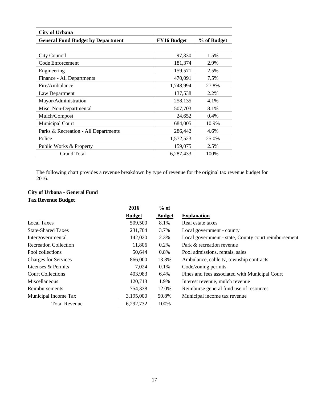| <b>City of Urbana</b>                    |                    |             |
|------------------------------------------|--------------------|-------------|
| <b>General Fund Budget by Department</b> | <b>FY16 Budget</b> | % of Budget |
|                                          |                    |             |
| City Council                             | 97,330             | 1.5%        |
| Code Enforcement                         | 181,374            | 2.9%        |
| Engineering                              | 159,571            | 2.5%        |
| Finance - All Departments                | 470,091            | 7.5%        |
| Fire/Ambulance                           | 1,748,994          | 27.8%       |
| Law Department                           | 137,538            | 2.2%        |
| Mayor/Administration                     | 258,135            | 4.1%        |
| Misc. Non-Departmental                   | 507,703            | 8.1%        |
| Mulch/Compost                            | 24,652             | $0.4\%$     |
| <b>Municipal Court</b>                   | 684,005            | 10.9%       |
| Parks & Recreation - All Departments     | 286,442            | 4.6%        |
| Police                                   | 1,572,523          | 25.0%       |
| Public Works & Property                  | 159,075            | 2.5%        |
| <b>Grand Total</b>                       | 6,287,433          | 100%        |

The following chart provides a revenue breakdown by type of revenue for the original tax revenue budget for 2016.

## **City of Urbana - General Fund Tax Revenue Budget**

|                              | 2016          | $%$ of        |                                                      |
|------------------------------|---------------|---------------|------------------------------------------------------|
|                              | <b>Budget</b> | <b>Budget</b> | <b>Explanation</b>                                   |
| <b>Local Taxes</b>           | 509,500       | 8.1%          | Real estate taxes                                    |
| <b>State-Shared Taxes</b>    | 231,704       | 3.7%          | Local government - county                            |
| Intergovernmental            | 142,020       | 2.3%          | Local government - state, County court reimbursement |
| <b>Recreation Collection</b> | 11,806        | 0.2%          | Park & recreation revenue                            |
| Pool collections             | 50,644        | 0.8%          | Pool admissions, rentals, sales                      |
| <b>Charges for Services</b>  | 866,000       | 13.8%         | Ambulance, cable tv, township contracts              |
| Licenses & Permits           | 7,024         | 0.1%          | Code/zoning permits                                  |
| <b>Court Collections</b>     | 403,983       | 6.4%          | Fines and fees associated with Municipal Court       |
| Miscellaneous                | 120,713       | 1.9%          | Interest revenue, mulch revenue                      |
| Reimbursements               | 754,338       | 12.0%         | Reimburse general fund use of resources              |
| Municipal Income Tax         | 3,195,000     | 50.8%         | Municipal income tax revenue                         |
| <b>Total Revenue</b>         | 6,292,732     | 100%          |                                                      |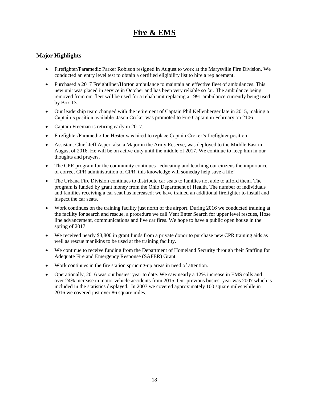# **Fire & EMS**

### **Major Highlights**

- Firefighter/Paramedic Parker Robison resigned in August to work at the Marysville Fire Division. We conducted an entry level test to obtain a certified eligibility list to hire a replacement.
- Purchased a 2017 Freightliner/Horton ambulance to maintain an effective fleet of ambulances. This new unit was placed in service in October and has been very reliable so far. The ambulance being removed from our fleet will be used for a rehab unit replacing a 1991 ambulance currently being used by Box 13.
- Our leadership team changed with the retirement of Captain Phil Kellenberger late in 2015, making a Captain's position available. Jason Croker was promoted to Fire Captain in February on 2106.
- Captain Freeman is retiring early in 2017.
- Firefighter/Paramedic Joe Hester was hired to replace Captain Croker's firefighter position.
- Assistant Chief Jeff Asper, also a Major in the Army Reserve, was deployed to the Middle East in August of 2016. He will be on active duty until the middle of 2017. We continue to keep him in our thoughts and prayers.
- The CPR program for the community continues– educating and teaching our citizens the importance of correct CPR administration of CPR, this knowledge will someday help save a life!
- The Urbana Fire Division continues to distribute car seats to families not able to afford them. The program is funded by grant money from the Ohio Department of Health. The number of individuals and families receiving a car seat has increased; we have trained an additional firefighter to install and inspect the car seats.
- Work continues on the training facility just north of the airport. During 2016 we conducted training at the facility for search and rescue, a procedure we call Vent Enter Search for upper level rescues, Hose line advancement, communications and live car fires. We hope to have a public open house in the spring of 2017.
- We received nearly \$3,800 in grant funds from a private donor to purchase new CPR training aids as well as rescue manikins to be used at the training facility.
- We continue to receive funding from the Department of Homeland Security through their Staffing for Adequate Fire and Emergency Response (SAFER) Grant.
- Work continues in the fire station sprucing-up areas in need of attention.
- Operationally, 2016 was our busiest year to date. We saw nearly a 12% increase in EMS calls and over 24% increase in motor vehicle accidents from 2015. Our previous busiest year was 2007 which is included in the statistics displayed. In 2007 we covered approximately 100 square miles while in 2016 we covered just over 86 square miles.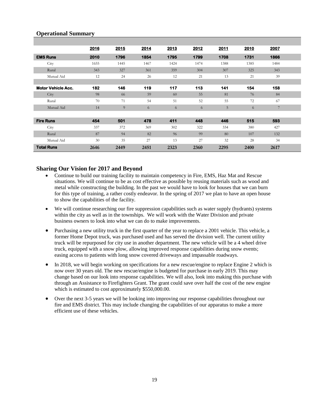### **Operational Summary**

|                           | 2016 | 2015 | 2014 | 2013 | 2012 | 2011 | 2010 | 2007 |  |
|---------------------------|------|------|------|------|------|------|------|------|--|
| <b>EMS Runs</b>           | 2010 | 1796 | 1854 | 1795 | 1799 | 1708 | 1731 | 1866 |  |
| City                      | 1655 | 1445 | 1467 | 1424 | 1474 | 1388 | 1385 | 1484 |  |
| Rural                     | 343  | 327  | 361  | 359  | 304  | 307  | 325  | 343  |  |
| Mutual Aid                | 12   | 24   | 26   | 12   | 21   | 13   | 21   | 39   |  |
|                           |      |      |      |      |      |      |      |      |  |
| <b>Motor Vehicle Acc.</b> | 182  | 146  | 119  | 117  | 113  | 141  | 154  | 158  |  |
| City                      | 98   | 66   | 59   | 60   | 55   | 81   | 76   | 84   |  |
| Rural                     | 70   | 71   | 54   | 51   | 52   | 55   | 72   | 67   |  |
| Mutual Aid                | 14   | 9    | 6    | 6    | 6    | 5    | 6    | 7    |  |
|                           |      |      |      |      |      |      |      |      |  |
| <b>Fire Runs</b>          | 454  | 501  | 478  | 411  | 448  | 446  | 515  | 593  |  |
| City                      | 337  | 372  | 369  | 302  | 322  | 334  | 380  | 427  |  |
| Rural                     | 87   | 94   | 82   | 96   | 99   | 80   | 107  | 132  |  |
| Mutual Aid                | 30   | 35   | 27   | 13   | 27   | 32   | 28   | 34   |  |
| <b>Total Runs</b>         | 2646 | 2449 | 2451 | 2323 | 2360 | 2295 | 2400 | 2617 |  |

- Continue to build our training facility to maintain competency in Fire, EMS, Haz Mat and Rescue situations. We will continue to be as cost effective as possible by reusing materials such as wood and metal while constructing the building. In the past we would have to look for houses that we can burn for this type of training, a rather costly endeavor. In the spring of 2017 we plan to have an open house to show the capabilities of the facility.
- We will continue researching our fire suppression capabilities such as water supply (hydrants) systems within the city as well as in the townships. We will work with the Water Division and private business owners to look into what we can do to make improvements.
- Purchasing a new utility truck in the first quarter of the year to replace a 2001 vehicle. This vehicle, a former Home Depot truck, was purchased used and has served the division well. The current utility truck will be repurposed for city use in another department. The new vehicle will be a 4 wheel drive truck, equipped with a snow plow, allowing improved response capabilities during snow events; easing access to patients with long snow covered driveways and impassable roadways.
- In 2018, we will begin working on specifications for a new rescue/engine to replace Engine 2 which is now over 30 years old. The new rescue/engine is budgeted for purchase in early 2019. This may change based on our look into response capabilities. We will also, look into making this purchase with through an Assistance to Firefighters Grant. The grant could save over half the cost of the new engine which is estimated to cost approximately \$550,000.00.
- Over the next 3-5 years we will be looking into improving our response capabilities throughout our fire and EMS district. This may include changing the capabilities of our apparatus to make a more efficient use of these vehicles.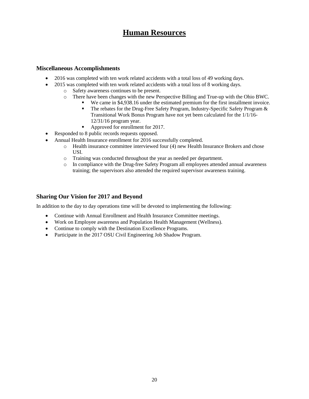# **Human Resources**

#### **Miscellaneous Accomplishments**

- 2016 was completed with ten work related accidents with a total loss of 49 working days.
- 2015 was completed with ten work related accidents with a total loss of 8 working days.
	- o Safety awareness continues to be present.
	- o There have been changes with the new Perspective Billing and True-up with the Ohio BWC.
		- We came in \$4,938.16 under the estimated premium for the first installment invoice.
			- The rebates for the Drug-Free Safety Program, Industry-Specific Safety Program & Transitional Work Bonus Program have not yet been calculated for the 1/1/16- 12/31/16 program year.
			- Approved for enrollment for 2017.
- Responded to 8 public records requests opposed.
- Annual Health Insurance enrollment for 2016 successfully completed.
	- o Health insurance committee interviewed four (4) new Health Insurance Brokers and chose USI.
	- o Training was conducted throughout the year as needed per department.
	- o In compliance with the Drug-free Safety Program all employees attended annual awareness training; the supervisors also attended the required supervisor awareness training.

#### **Sharing Our Vision for 2017 and Beyond**

In addition to the day to day operations time will be devoted to implementing the following:

- Continue with Annual Enrollment and Health Insurance Committee meetings.
- Work on Employee awareness and Population Health Management (Wellness).
- Continue to comply with the Destination Excellence Programs.
- Participate in the 2017 OSU Civil Engineering Job Shadow Program.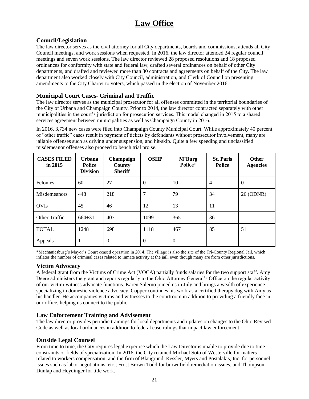# **Law Office**

### **Council/Legislation**

The law director serves as the civil attorney for all City departments, boards and commissions, attends all City Council meetings, and work sessions when requested. In 2016, the law director attended 24 regular council meetings and seven work sessions. The law director reviewed 28 proposed resolutions and 18 proposed ordinances for conformity with state and federal law, drafted several ordinances on behalf of other City departments, and drafted and reviewed more than 30 contracts and agreements on behalf of the City. The law department also worked closely with City Council, administration, and Clerk of Council on presenting amendments to the City Charter to voters, which passed in the election of November 2016.

### **Municipal Court Cases- Criminal and Traffic**

The law director serves as the municipal prosecutor for all offenses committed in the territorial boundaries of the City of Urbana and Champaign County. Prior to 2014, the law director contracted separately with other municipalities in the court's jurisdiction for prosecution services. This model changed in 2015 to a shared services agreement between municipalities as well as Champaign County in 2016.

In 2016, 3,734 new cases were filed into Champaign County Municipal Court. While approximately 40 percent of "other traffic" cases result in payment of tickets by defendants without prosecutor involvement, many are jailable offenses such as driving under suspension, and hit-skip. Quite a few speeding and unclassified misdemeanor offenses also proceed to bench trial pro se.

| <b>CASES FILED</b><br>in $2015$ | <b>Urbana</b><br><b>Police</b><br><b>Division</b> | Champaign<br>County<br><b>Sheriff</b> | <b>OSHP</b>      | M'Burg<br>Police* | <b>St. Paris</b><br><b>Police</b> | <b>Other</b><br><b>Agencies</b> |
|---------------------------------|---------------------------------------------------|---------------------------------------|------------------|-------------------|-----------------------------------|---------------------------------|
| Felonies                        | 60                                                | 27                                    | $\boldsymbol{0}$ | 10                | $\overline{4}$                    | $\overline{0}$                  |
| <b>Misdemeanors</b>             | 448                                               | 218                                   | 7                | 79                | 34                                | 26 (ODNR)                       |
| <b>OVIs</b>                     | 45                                                | 46                                    | 12               | 13                | 11                                |                                 |
| <b>Other Traffic</b>            | $664 + 31$                                        | 407                                   | 1099             | 365               | 36                                |                                 |
| <b>TOTAL</b>                    | 1248                                              | 698                                   | 1118             | 467               | 85                                | 51                              |
| Appeals                         |                                                   | $\Omega$                              | $\boldsymbol{0}$ | $\Omega$          |                                   |                                 |

\*Mechanicsburg's Mayor's Court ceased operation in 2014. The village is also the site of the Tri-County Regional Jail, which inflates the number of criminal cases related to inmate activity at the jail, even though many are from other jurisdictions.

#### **Victim Advocacy**

A federal grant from the Victims of Crime Act (VOCA) partially funds salaries for the two support staff. Amy Deere administers the grant and reports regularly to the Ohio Attorney General's Office on the regular activity of our victim-witness advocate functions. Karen Salerno joined us in July and brings a wealth of experience specializing in domestic violence advocacy. Copper continues his work as a certified therapy dog with Amy as his handler. He accompanies victims and witnesses to the courtroom in addition to providing a friendly face in our office, helping us connect to the public.

#### **Law Enforcement Training and Advisement**

The law director provides periodic trainings for local departments and updates on changes to the Ohio Revised Code as well as local ordinances in addition to federal case rulings that impact law enforcement.

#### **Outside Legal Counsel**

From time to time, the City requires legal expertise which the Law Director is unable to provide due to time constraints or fields of specialization. In 2016, the City retained Michael Soto of Westerville for matters related to workers compensation, and the firm of Blaugrund, Kessler, Myers and Postalakis, Inc. for personnel issues such as labor negotiations, etc.; Frost Brown Todd for brownfield remediation issues, and Thompson, Dunlap and Heydinger for title work.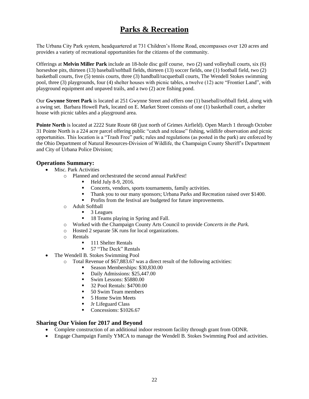# **Parks & Recreation**

The Urbana City Park system, headquartered at 731 Children's Home Road, encompasses over 120 acres and provides a variety of recreational opportunities for the citizens of the community.

Offerings at **Melvin Miller Park** include an 18-hole disc golf course, two (2) sand volleyball courts, six (6) horseshoe pits, thirteen (13) baseball/softball fields, thirteen (13) soccer fields, one (1) football field, two (2) basketball courts, five (5) tennis courts, three (3) handball/racquetball courts, The Wendell Stokes swimming pool, three (3) playgrounds, four (4) shelter houses with picnic tables, a twelve (12) acre "Frontier Land", with playground equipment and unpaved trails, and a two (2) acre fishing pond.

Our **Gwynne Street Park** is located at 251 Gwynne Street and offers one (1) baseball/softball field, along with a swing set. Barbara Howell Park, located on E. Market Street consists of one (1) basketball court, a shelter house with picnic tables and a playground area.

**Pointe North** is located at 2222 State Route 68 (just north of Grimes Airfield). Open March 1 through October 31 Pointe North is a 224 acre parcel offering public "catch and release" fishing, wildlife observation and picnic opportunities. This location is a "Trash Free" park; rules and regulations (as posted in the park) are enforced by the Ohio Department of Natural Resources-Division of Wildlife, the Champaign County Sheriff's Department and City of Urbana Police Division;

#### **Operations Summary:**

- Misc. Park Activities
	- o Planned and orchestrated the second annual ParkFest!
		- $\blacksquare$  Held July 8-9, 2016.
		- Concerts, vendors, sports tournaments, family activities.
		- Thank you to our many sponsors; Urbana Parks and Recreation raised over \$1400.
		- Profits from the festival are budgeted for future improvements.
	- o Adult Softball
		- **3** Leagues
		- <sup>18</sup> 18 Teams playing in Spring and Fall.
	- o Worked with the Champaign County Arts Council to provide *Concerts in the Park.*
	- o Hosted 2 separate 5K runs for local organizations.
	- o Rentals
		- **111 Shelter Rentals**
		- 57 "The Deck" Rentals
- The Wendell B. Stokes Swimming Pool
	- $\circ$  Total Revenue of \$67,883.67 was a direct result of the following activities:
		- Season Memberships: \$30,830.00
		- Daily Admissions: \$25,447.00
		- Swim Lessons: \$5880.00
		- **32 Pool Rentals: \$4700.00**
		- 50 Swim Team members
		- **5 Home Swim Meets**
		- **Jr Lifeguard Class**
		- Concessions: \$1026.67

- Complete construction of an additional indoor restroom facility through grant from ODNR.
- Engage Champaign Family YMCA to manage the Wendell B. Stokes Swimming Pool and activities.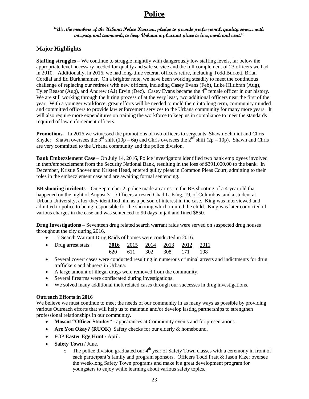# **Police**

#### **"We, the members of the Urbana Police Division, pledge to provide professional, quality service with integrity and teamwork, to keep Urbana a pleasant place to live, work and visit."**

### **Major Highlights**

**Staffing struggles** – We continue to struggle mightily with dangerously low staffing levels, far below the appropriate level necessary needed for quality and safe service and the full complement of 23 officers we had in 2010. Additionally, in 2016, we had long-time veteran officers retire, including Todd Burkett, Brian Cordial and Ed Burkhammer. On a brighter note, we have been working steadily to meet the continuous challenge of replacing our retirees with new officers, including Casey Evans (Feb), Luke Hiltibran (Aug), Tyler Reasor (Aug), and Andrew (AJ) Ervin (Dec). Casey Evans became the 4<sup>th</sup> female officer in our history. We are still working through the hiring process of at the very least, two additional officers near the first of the year. With a younger workforce, great efforts will be needed to mold them into long term, community minded and committed officers to provide law enforcement services to the Urbana community for many more years. It will also require more expenditures on training the workforce to keep us in compliance to meet the standards required of law enforcement officers.

**Promotions** – In 2016 we witnessed the promotions of two officers to sergeants, Shawn Schmidt and Chris Snyder. Shawn oversees the 3<sup>rd</sup> shift (10p – 6a) and Chris oversees the  $2^{nd}$  shift (2p – 10p). Shawn and Chris are very committed to the Urbana community and the police division.

**Bank Embezzlement Case** – On July 14, 2016, Police investigators identified two bank employees involved in theft/embezzlement from the Security National Bank, resulting in the loss of \$391,000.00 to the bank. In December, Kristie Shover and Kristen Head, entered guilty pleas in Common Pleas Court, admitting to their roles in the embezzlement case and are awaiting formal sentencing.

**BB shooting incidents** – On September 2, police made an arrest in the BB shooting of a 4-year old that happened on the night of August 31. Officers arrested Chad L. King, 19, of Columbus, and a student at Urbana University, after they identified him as a person of interest in the case. King was interviewed and admitted to police to being responsible for the shooting which injured the child. King was later convicted of various charges in the case and was sentenced to 90 days in jail and fined \$850.

**Drug Investigations** – Seventeen drug related search warrant raids were served on suspected drug houses throughout the city during 2016.

• 17 Search Warrant Drug Raids of homes were conducted in 2016.

| • Drug arrest stats: |  | 2016 2015 2014 2013 2012 2011 |  |
|----------------------|--|-------------------------------|--|
|                      |  | 620 611 302 308 171 108       |  |

- Several covert cases were conducted resulting in numerous criminal arrests and indictments for drug traffickers and abusers in Urbana.
- A large amount of illegal drugs were removed from the community.
- Several firearms were confiscated during investigations.
- We solved many additional theft related cases through our successes in drug investigations.

#### **Outreach Efforts in 2016**

We believe we must continue to meet the needs of our community in as many ways as possible by providing various Outreach efforts that will help us to maintain and/or develop lasting partnerships to strengthen professional relationships in our community.

- **Mascot "Officer Stanley"** appearances at Community events and for presentations.
- **Are You Okay? (RUOK)** Safety checks for our elderly & homebound.
- FOP **Easter Egg Hunt** / April.
- **Safety Town** / June.
	- $\circ$  The police division graduated our 4<sup>th</sup> year of Safety Town classes with a ceremony in front of each participant's family and program sponsors. Officers Todd Pratt & Jason Kizer oversee the week-long Safety Town programs and make it a great development program for youngsters to enjoy while learning about various safety topics.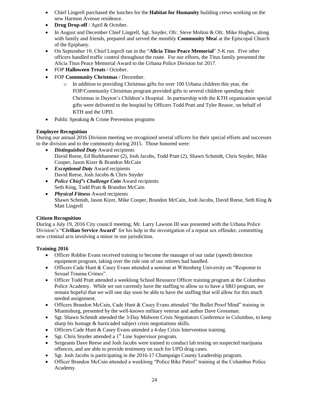- Chief Lingrell purchased the lunches for the **Habitat for Humanity** building crews working on the new Harmon Avenue residence.
- **Drug Drop-off** / April & October.
- In August and December Chief Lingrell, Sgt. Snyder, Ofc. Steve Molton & Ofc. Mike Hughes, along with family and friends, prepared and served the monthly **Community Mea**l at the Episcopal Church of the Epiphany.
- On September 10, Chief Lingrell ran in the "**Alicia Titus Peace Memorial**" 5-K run. Five other officers handled traffic control throughout the route. For our efforts, the Titus family presented the Alicia Titus Peace Memorial Award to the Urbana Police Division for 2017.
- FOP **Halloween Treats** / October.
- FOP **Community Christmas** / December.
	- $\circ$  In addition to providing Christmas gifts for over 100 Urbana children this year, the FOP/Community Christmas program provided gifts to several children spending their Christmas in Dayton's Children's Hospital. In partnership with the KTH organization special gifts were delivered to the hospital by Officers Todd Pratt and Tyler Reasor, on behalf of KTH and the UPD.
- Public Speaking & Crime Prevention programs

#### **Employee Recognition**

During our annual 2016 Division meeting we recognized several officers for their special efforts and successes to the division and to the community during 2015. Those honored were:

- *Distinguished Duty* Award recipients David Reese, Ed Burkhammer (2), Josh Jacobs, Todd Pratt (2), Shawn Schmidt, Chris Snyder, Mike Cooper, Jason Kizer & Brandon McCain
- *Exceptional Duty* Award recipients David Reese, Josh Jacobs & Chris Snyder
- *Police Chief's Challenge Coin* Award recipients Seth King, Todd Pratt & Brandon McCain
- *Physical Fitness* Award recipients Shawn Schmidt, Jason Kizer, Mike Cooper, Brandon McCain, Josh Jacobs, David Reese, Seth King & Matt Lingrell

#### **Citizen Recognition**

During a July 19, 2016 City council meeting, Mr. Larry Lawson III was presented with the Urbana Police Division's "**Civilian Service Award**" for his help in the investigation of a repeat sex offender, committing new criminal acts involving a minor in our jurisdiction.

#### **Training 2016**

- Officer Robbie Evans received training to become the manager of our radar (speed) detection equipment program, taking over the role one of our retirees had handled.
- Officers Cade Hunt & Casey Evans attended a seminar at Wittenberg University on "Response to Sexual Trauma Crimes".
- Officer Todd Pratt attended a weeklong School Resource Officer training program at the Columbus Police Academy. While we not currently have the staffing to allow us to have a SRO program, we remain hopeful that we will one day soon be able to have the staffing that will allow for this much needed assignment.
- Officers Brandon McCain, Cade Hunt & Casey Evans attended "the Bullet Proof Mind" training in Miamisburg, presented by the well-known military veteran and author Dave Grossman.
- Sgt. Shawn Schmidt attended the 3-Day Midwest Crisis Negotiators Conference in Columbus, to keep sharp his hostage & barricaded subject crisis negotiations skills.
- Officers Cade Hunt & Casey Evans attended a 4-day Crisis Intervention training.
- Sgt. Chris Snyder attended a  $1<sup>st</sup>$  Line Supervisor program.
- Sergeants Dave Reese and Josh Jacobs were trained to conduct lab testing on suspected marijuana offences, and are able to provide testimony on such for UPD drug cases.
- Sgt. Josh Jacobs is participating in the 2016-17 Champaign County Leadership program.
- Officer Brandon McCain attended a weeklong "Police Bike Patrol" training at the Columbus Police Academy.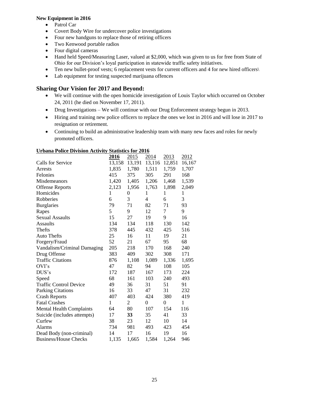#### **New Equipment in 2016**

- Patrol Car
- Covert Body Wire for undercover police investigations
- Four new handguns to replace those of retiring officers
- Two Kenwood portable radios
- Four digital cameras
- Hand held Speed/Measuring Laser, valued at \$2,000, which was given to us for free from State of Ohio for our Division's loyal participation in statewide traffic safety initiatives.
- Ten new bullet-proof vests; 6 replacement vests for current officers and 4 for new hired officers\
- Lab equipment for testing suspected marijuana offences

### **Sharing Our Vision for 2017 and Beyond:**

- We will continue with the open homicide investigation of Louis Taylor which occurred on October 24, 2011 (he died on November 17, 2011).
- Drug Investigations We will continue with our Drug Enforcement strategy begun in 2013.
- Hiring and training new police officers to replace the ones we lost in 2016 and will lose in 2017 to resignation or retirement.
- Continuing to build an administrative leadership team with many new faces and roles for newly promoted officers.

| OTBana I blice Division Activity Blaustics for 2010 |        |                  |                |          |              |  |  |
|-----------------------------------------------------|--------|------------------|----------------|----------|--------------|--|--|
|                                                     | 2016   | 2015             | 2014           | 2013     | 2012         |  |  |
| Calls for Service                                   | 13,158 | 13,191           | 13,116 12,851  |          | 16,167       |  |  |
| Arrests                                             | 1,835  | 1,780            | 1,511          | 1,759    | 1,707        |  |  |
| Felonies                                            | 415    | 375              | 305            | 291      | 168          |  |  |
| Misdemeanors                                        | 1,420  | 1,405            | 1,206          | 1,468    | 1,539        |  |  |
| <b>Offense Reports</b>                              | 2,123  | 1,956            | 1,763          | 1,898    | 2,049        |  |  |
| Homicides                                           | 1      | $\boldsymbol{0}$ | 1              | 1        | $\mathbf{1}$ |  |  |
| Robberies                                           | 6      | 3                | 4              | 6        | 3            |  |  |
| <b>Burglaries</b>                                   | 79     | 71               | 82             | 71       | 93           |  |  |
| Rapes                                               | 5      | 9                | 12             | 7        | 9            |  |  |
| <b>Sexual Assaults</b>                              | 15     | 27               | 19             | 9        | 16           |  |  |
| <b>Assaults</b>                                     | 134    | 134              | 118            | 130      | 142          |  |  |
| Thefts                                              | 378    | 445              | 432            | 425      | 516          |  |  |
| <b>Auto Thefts</b>                                  | 25     | 16               | 11             | 19       | 21           |  |  |
| Forgery/Fraud                                       | 52     | 21               | 67             | 95       | 68           |  |  |
| Vandalism/Criminal Damaging                         | 205    | 218              | 170            | 168      | 240          |  |  |
| Drug Offense                                        | 383    | 409              | 302            | 308      | 171          |  |  |
| <b>Traffic Citations</b>                            | 876    | 1,108            | 1,089          | 1,336    | 1,695        |  |  |
| OVI's                                               | 47     | 82               | 94             | 108      | 105          |  |  |
| DUS's                                               | 172    | 187              | 167            | 173      | 224          |  |  |
| Speed                                               | 68     | 161              | 103            | 240      | 493          |  |  |
| <b>Traffic Control Device</b>                       | 49     | 36               | 31             | 51       | 91           |  |  |
| <b>Parking Citations</b>                            | 16     | 33               | 47             | 31       | 232          |  |  |
| <b>Crash Reports</b>                                | 407    | 403              | 424            | 380      | 419          |  |  |
| <b>Fatal Crashes</b>                                | 1      | 2                | $\overline{0}$ | $\theta$ | 1            |  |  |
| <b>Mental Health Complaints</b>                     | 64     | 80               | 107            | 154      | 116          |  |  |
| Suicide (includes attempts)                         | 17     | 33               | 35             | 41       | 33           |  |  |
| Curfew                                              | 38     | 23               | 12             | 10       | 14           |  |  |
| <b>Alarms</b>                                       | 734    | 981              | 493            | 423      | 454          |  |  |
| Dead Body (non-criminal)                            | 14     | 17               | 16             | 19       | 16           |  |  |
| <b>Business/House Checks</b>                        | 1,135  | 1,665            | 1,584          | 1,264    | 946          |  |  |

#### **Urbana Police Division Activity Statistics for 2016**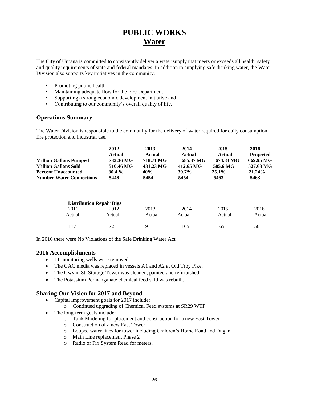# **PUBLIC WORKS Water**

The City of Urbana is committed to consistently deliver a water supply that meets or exceeds all health, safety and quality requirements of state and federal mandates. In addition to supplying safe drinking water, the Water Division also supports key initiatives in the community:

- Promoting public health
- Maintaining adequate flow for the Fire Department
- Supporting a strong economic development initiative and
- Contributing to our community's overall quality of life.

#### **Operations Summary**

The Water Division is responsible to the community for the delivery of water required for daily consumption, fire protection and industrial use.

|                                 | 2012      | 2013      | 2014      | 2015      | 2016             |
|---------------------------------|-----------|-----------|-----------|-----------|------------------|
|                                 | Actual    | Actual    | Actual    | Actual    | <b>Projected</b> |
| <b>Million Gallons Pumped</b>   | 733.36 MG | 718.71 MG | 685.37 MG | 674.83 MG | 669.95 MG        |
| <b>Million Gallons Sold</b>     | 510.46 MG | 431.23 MG | 412.65 MG | 505.6 MG  | 527.63 MG        |
| <b>Percent Unaccounted</b>      | $30.4\%$  | 40%       | 39.7%     | $25.1\%$  | 21.24%           |
| <b>Number Water Connections</b> | 5448      | 5454      | 5454      | 5463      | 5463             |

|        | <b>Distribution Repair Digs</b> |        |        |        |        |
|--------|---------------------------------|--------|--------|--------|--------|
| 2011   | 2012                            | 2013   | 2014   | 2015   | 2016   |
| Actual | Actual                          | Actual | Actual | Actual | Actual |
|        |                                 |        |        |        |        |
| 117    | $72^{\circ}$                    | 91     | 105    | 65     | 56     |

In 2016 there were No Violations of the Safe Drinking Water Act.

#### **2016 Accomplishments**

- 11 monitoring wells were removed.
- The GAC media was replaced in vessels A1 and A2 at Old Troy Pike.
- The Gwynn St. Storage Tower was cleaned, painted and refurbished.
- The Potassium Permanganate chemical feed skid was rebuilt.

- Capital Improvement goals for 2017 include:
	- o Continued upgrading of Chemical Feed systems at SR29 WTP.
- The long-term goals include:
	- o Tank Modeling for placement and construction for a new East Tower
	- o Construction of a new East Tower
	- o Looped water lines for tower including Children's Home Road and Dugan
	- o Main Line replacement Phase 2
	- o Radio or Fix System Read for meters.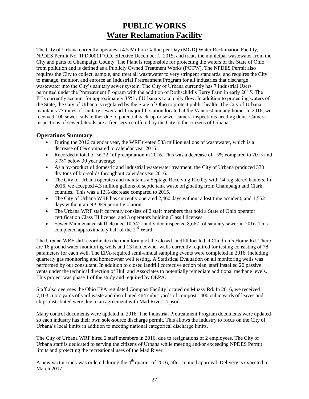# **PUBLIC WORKS Water Reclamation Facility**

The City of Urbana currently operates a 4.5 Million Gallon per Day (MGD) Water Reclamation Facility, NPDES Permit No. 1PD00011\*OD, effective December 1, 2015, and treats the municipal wastewater from the City and parts of Champaign County. The Plant is responsible for protecting the waters of the State of Ohio from pollution and is defined as a Publicly Owned Treatment Works (POTW). The NPDES Permit also requires the City to collect, sample, and treat all wastewater to very stringent standards, and requires the City to manage, monitor, and enforce an Industrial Pretreatment Program for all industries that discharge wastewater into the City's sanitary sewer system. The City of Urbana currently has 7 Industrial Users permitted under the Pretreatment Program with the addition of Rothschild's Berry Farm in early 2015. The IU's currently account for approximately 35% of Urbana's total daily flow. In addition to protecting waters of the State, the City of Urbana is regulated by the State of Ohio to protect public health. The City of Urbana maintains 77 miles of sanitary sewer and 1 major lift station located at the Vancrest nursing home. In 2016, we received 100 sewer calls, either due to potential back-up or sewer camera inspections needing done. Camera inspections of sewer laterals are a free service offered by the City to the citizens of Urbana.

### **Operations Summary**

- During the 2016 calendar year, the WRF treated 533 million gallons of wastewater, which is a decrease of 6% compared to calendar year 2015.
- Recorded a total of 36.22" of precipitation in 2016. This was a decrease of 15% compared to 2015 and 3.78" below 30 year average.
- As a by-product of domestic and industrial wastewater treatment, the City of Urbana produced 330 dry tons of bio-solids throughout calendar year 2016.
- The City of Urbana operates and maintains a Septage Receiving Facility with 14 registered haulers. In 2016, we accepted 4.3 million gallons of septic tank waste originating from Champaign and Clark counties. This was a 12% decrease compared to 2015.
- The City of Urbana WRF has currently operated 2,460 days without a lost time accident, and 1,552 days without an NPDES permit violation.
- The Urbana WRF staff currently consists of 2 staff members that hold a State of Ohio operator certification Class III license, and 3 operators holding Class I licenses.
- Sewer Maintenance staff cleaned  $10,542$ ' and video inspected 8,667' of sanitary sewer in 2016. This completed approximately half of the 2<sup>nd</sup> Ward.

The Urbana WRF staff coordinates the monitoring of the closed landfill located at Children's Home Rd. There are 16 ground water monitoring wells and 13 homeowner wells currently required for testing consisting of 78 parameters for each well. The EPA-required semi-annual sampling events were completed in 2016, including quarterly gas monitoring and homeowner well testing. A Statistical Evaluation on all monitoring wells was performed by our consultant. In addition to closed landfill corrective action plan, staff installed 20 passive vents under the technical direction of Hull and Associates to potentially remediate additional methane levels. This project was phase 1 of the study and required by OEPA.

Staff also oversees the Ohio EPA regulated Compost Facility located on Muzzy Rd. In 2016, we received 7,103 cubic yards of yard waste and distributed 464 cubic yards of compost. 400 cubic yards of leaves and chips distributed were due to an agreement with Mad River Topsoil.

Many control documents were updated in 2016. The Industrial Pretreatment Program documents were updated so each industry has their own sole-source discharge permit. This allows the industry to focus on the City of Urbana's local limits in addition to meeting national categorical discharge limits.

The City of Urbana WRF hired 2 staff members in 2016, due to resignations of 2 employees. The City of Urbana staff is dedicated to serving the citizens of Urbana while meeting and/or exceeding NPDES Permit limits and protecting the recreational uses of the Mad River.

A new vactor truck was ordered during the  $4<sup>th</sup>$  quarter of 2016, after council approval. Delivery is expected in March 2017.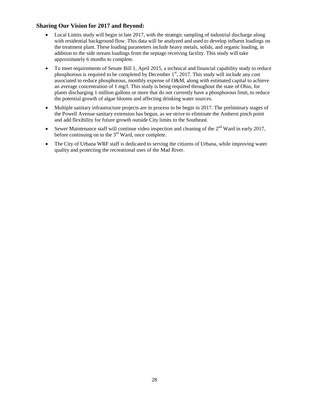- Local Limits study will begin in late 2017, with the strategic sampling of industrial discharge along with residential background flow. This data will be analyzed and used to develop influent loadings on the treatment plant. These loading parameters include heavy metals, solids, and organic loading, in addition to the side stream loadings from the septage receiving facility. This study will take approximately 6 months to complete.
- To meet requirements of Senate Bill 1, April 2015, a technical and financial capability study to reduce phosphorous is required to be completed by December  $1<sup>st</sup>$ , 2017. This study will include any cost associated to reduce phosphorous, monthly expense of O&M, along with estimated capital to achieve an average concentration of 1 mg/l. This study is being required throughout the state of Ohio, for plants discharging 1 million gallons or more that do not currently have a phosphorous limit, to reduce the potential growth of algae blooms and affecting drinking water sources.
- Multiple sanitary infrastructure projects are in process to be begin in 2017. The preliminary stages of the Powell Avenue sanitary extension has begun, as we strive to eliminate the Amherst pinch point and add flexibility for future growth outside City limits to the Southeast.
- Sewer Maintenance staff will continue video inspection and cleaning of the  $2<sup>nd</sup>$  Ward in early 2017, before continuing on to the  $3<sup>rd</sup>$  Ward, once complete.
- The City of Urbana WRF staff is dedicated to serving the citizens of Urbana, while improving water quality and protecting the recreational uses of the Mad River.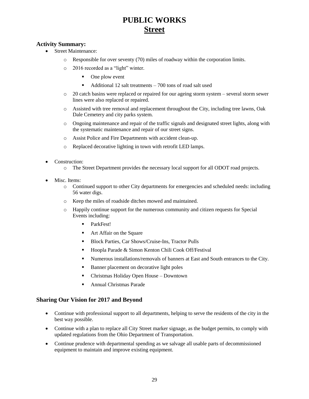# **PUBLIC WORKS Street**

### **Activity Summary:**

- Street Maintenance:
	- o Responsible for over seventy (70) miles of roadway within the corporation limits.
	- o 2016 recorded as a "light" winter.
		- One plow event
		- Additional 12 salt treatments 700 tons of road salt used
	- o 20 catch basins were replaced or repaired for our ageing storm system several storm sewer lines were also replaced or repaired.
	- o Assisted with tree removal and replacement throughout the City, including tree lawns, Oak Dale Cemetery and city parks system.
	- o Ongoing maintenance and repair of the traffic signals and designated street lights, along with the systematic maintenance and repair of our street signs.
	- o Assist Police and Fire Departments with accident clean-up.
	- o Replaced decorative lighting in town with retrofit LED lamps.
- Construction:
	- o The Street Department provides the necessary local support for all ODOT road projects.
- Misc. Items:
	- o Continued support to other City departments for emergencies and scheduled needs: including 56 water digs.
	- o Keep the miles of roadside ditches mowed and maintained.
	- o Happily continue support for the numerous community and citizen requests for Special Events including:
		- ParkFest!
		- **Art Affair on the Square**
		- Block Parties, Car Shows/Cruise-Ins, Tractor Pulls
		- Hoopla Parade & Simon Kenton Chili Cook Off/Festival
		- Numerous installations/removals of banners at East and South entrances to the City.
		- Banner placement on decorative light poles
		- Christmas Holiday Open House Downtown
		- Annual Christmas Parade

- Continue with professional support to all departments, helping to serve the residents of the city in the best way possible.
- Continue with a plan to replace all City Street marker signage, as the budget permits, to comply with updated regulations from the Ohio Department of Transportation.
- Continue prudence with departmental spending as we salvage all usable parts of decommissioned equipment to maintain and improve existing equipment.